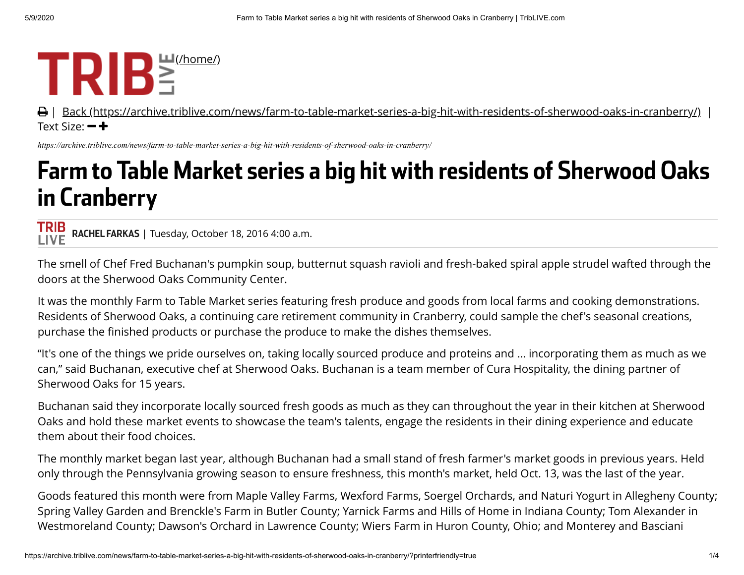## $TRIB^{\frac{\text{m}}{2}(\text{home/})}$

**A** | [Back \(https://archive.triblive.com/news/farm-to-table-market-series-a-big-hit-with-residents-of-sherwood-oaks-in-cranberry/\)](https://archive.triblive.com/news/farm-to-table-market-series-a-big-hit-with-residents-of-sherwood-oaks-in-cranberry/) | Text Size:  $-\div$ 

*https://archive.triblive.com/news/farm-to-table-market-series-a-big-hit-with-residents-of-sherwood-oaks-in-cranberry/*

## Farm to Table Market series a big hit with residents of Sherwood Oaks in Cranberry

**TRIB** RACHEL FARKAS | Tuesday, October 18, 2016 4:00 a.m. **LIVE** 

The smell of Chef Fred Buchanan's pumpkin soup, butternut squash ravioli and fresh-baked spiral apple strudel wafted through the doors at the Sherwood Oaks Community Center.

It was the monthly Farm to Table Market series featuring fresh produce and goods from local farms and cooking demonstrations. Residents of Sherwood Oaks, a continuing care retirement community in Cranberry, could sample the chef's seasonal creations, purchase the finished products or purchase the produce to make the dishes themselves.

"It's one of the things we pride ourselves on, taking locally sourced produce and proteins and … incorporating them as much as we can," said Buchanan, executive chef at Sherwood Oaks. Buchanan is a team member of Cura Hospitality, the dining partner of Sherwood Oaks for 15 years.

Buchanan said they incorporate locally sourced fresh goods as much as they can throughout the year in their kitchen at Sherwood Oaks and hold these market events to showcase the team's talents, engage the residents in their dining experience and educate them about their food choices.

The monthly market began last year, although Buchanan had a small stand of fresh farmer's market goods in previous years. Held only through the Pennsylvania growing season to ensure freshness, this month's market, held Oct. 13, was the last of the year.

Goods featured this month were from Maple Valley Farms, Wexford Farms, Soergel Orchards, and Naturi Yogurt in Allegheny County; Spring Valley Garden and Brenckle's Farm in Butler County; Yarnick Farms and Hills of Home in Indiana County; Tom Alexander in Westmoreland County; Dawson's Orchard in Lawrence County; Wiers Farm in Huron County, Ohio; and Monterey and Basciani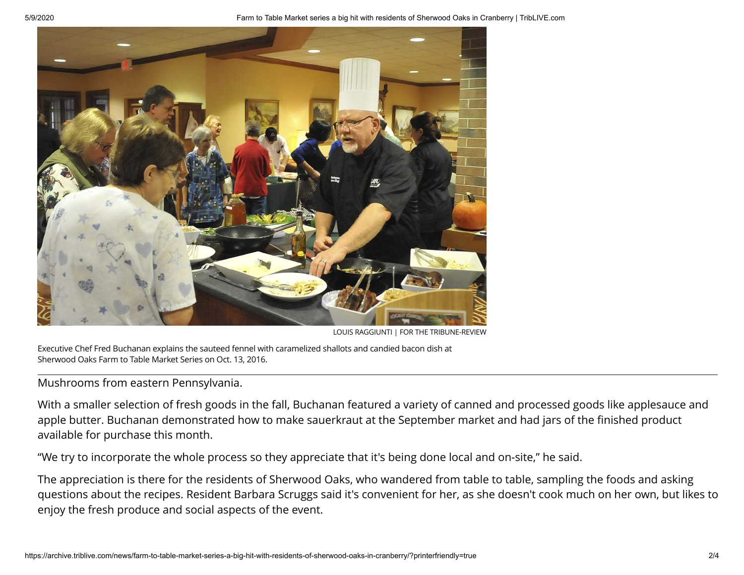

LOUIS RAGGIUNTI | FOR THE TRIBUNE-REVIEW

Executive Chef Fred Buchanan explains the sauteed fennel with caramelized shallots and candied bacon dish at Sherwood Oaks Farm to Table Market Series on Oct. 13, 2016.

## Mushrooms from eastern Pennsylvania.

With a smaller selection of fresh goods in the fall, Buchanan featured a variety of canned and processed goods like applesauce and apple butter. Buchanan demonstrated how to make sauerkraut at the September market and had jars of the finished product available for purchase this month.

"We try to incorporate the whole process so they appreciate that it's being done local and on-site," he said.

The appreciation is there for the residents of Sherwood Oaks, who wandered from table to table, sampling the foods and asking questions about the recipes. Resident Barbara Scruggs said it's convenient for her, as she doesn't cook much on her own, but likes to enjoy the fresh produce and social aspects of the event.